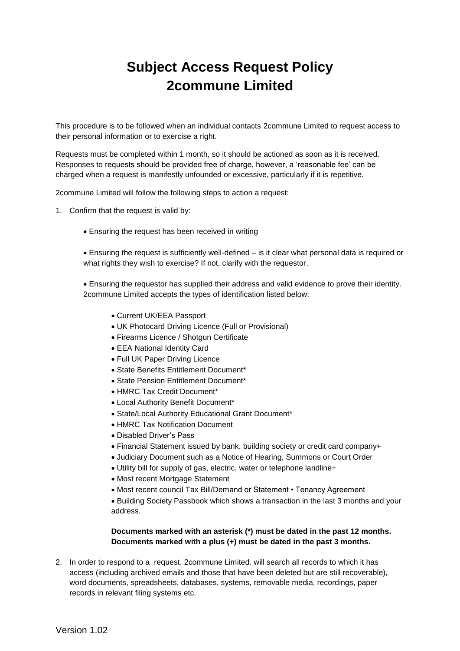## **Subject Access Request Policy 2commune Limited**

This procedure is to be followed when an individual contacts 2commune Limited to request access to their personal information or to exercise a right.

Requests must be completed within 1 month, so it should be actioned as soon as it is received. Responses to requests should be provided free of charge, however, a 'reasonable fee' can be charged when a request is manifestly unfounded or excessive, particularly if it is repetitive.

2commune Limited will follow the following steps to action a request:

- 1. Confirm that the request is valid by:
	- Ensuring the request has been received in writing

 Ensuring the request is sufficiently well-defined – is it clear what personal data is required or what rights they wish to exercise? If not, clarify with the requestor.

 Ensuring the requestor has supplied their address and valid evidence to prove their identity. 2commune Limited accepts the types of identification listed below:

- Current UK/EEA Passport
- UK Photocard Driving Licence (Full or Provisional)
- Firearms Licence / Shotgun Certificate
- EEA National Identity Card
- Full UK Paper Driving Licence
- State Benefits Entitlement Document\*
- State Pension Entitlement Document\*
- HMRC Tax Credit Document\*
- Local Authority Benefit Document\*
- State/Local Authority Educational Grant Document\*
- HMRC Tax Notification Document
- Disabled Driver's Pass
- Financial Statement issued by bank, building society or credit card company+
- Judiciary Document such as a Notice of Hearing, Summons or Court Order
- Utility bill for supply of gas, electric, water or telephone landline+
- Most recent Mortgage Statement
- Most recent council Tax Bill/Demand or Statement Tenancy Agreement

 Building Society Passbook which shows a transaction in the last 3 months and your address.

## **Documents marked with an asterisk (\*) must be dated in the past 12 months. Documents marked with a plus (+) must be dated in the past 3 months.**

2. In order to respond to a request, 2commune Limited. will search all records to which it has access (including archived emails and those that have been deleted but are still recoverable), word documents, spreadsheets, databases, systems, removable media, recordings, paper records in relevant filing systems etc.